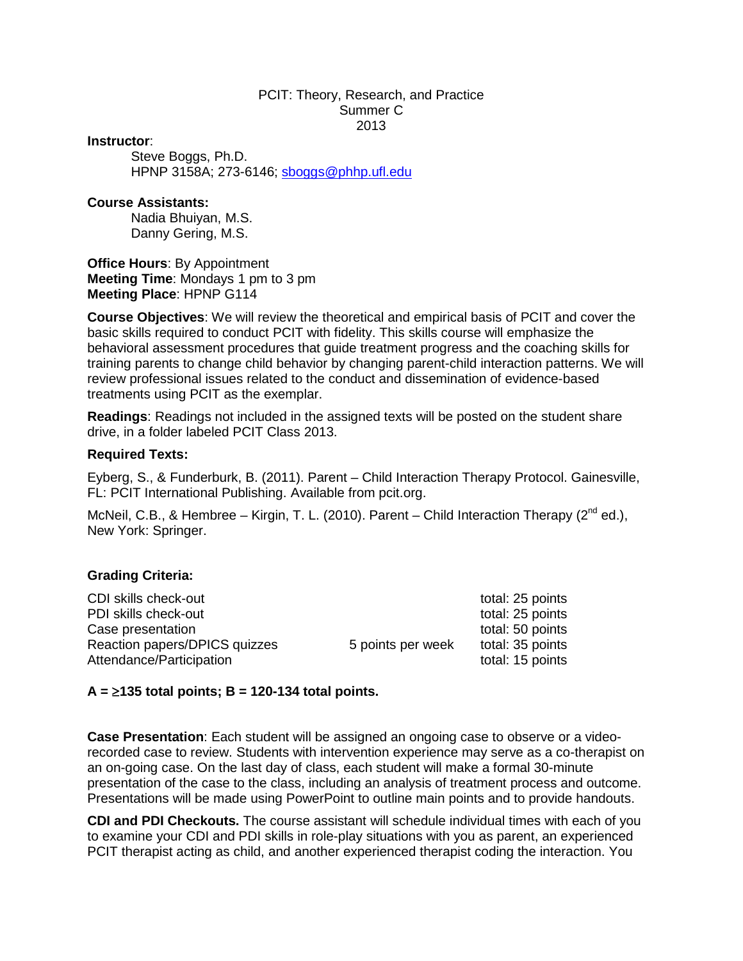#### PCIT: Theory, Research, and Practice Summer C 2013

#### **Instructor**:

Steve Boggs, Ph.D. HPNP 3158A; 273-6146; [sboggs@phhp.ufl.edu](mailto:sboggs@phhp.ufl.edu)

#### **Course Assistants:**

Nadia Bhuiyan, M.S. Danny Gering, M.S.

**Office Hours**: By Appointment **Meeting Time**: Mondays 1 pm to 3 pm **Meeting Place**: HPNP G114

**Course Objectives**: We will review the theoretical and empirical basis of PCIT and cover the basic skills required to conduct PCIT with fidelity. This skills course will emphasize the behavioral assessment procedures that guide treatment progress and the coaching skills for training parents to change child behavior by changing parent-child interaction patterns. We will review professional issues related to the conduct and dissemination of evidence-based treatments using PCIT as the exemplar.

**Readings**: Readings not included in the assigned texts will be posted on the student share drive, in a folder labeled PCIT Class 2013.

#### **Required Texts:**

Eyberg, S., & Funderburk, B. (2011). Parent – Child Interaction Therapy Protocol. Gainesville, FL: PCIT International Publishing. Available from pcit.org.

McNeil, C.B., & Hembree – Kirgin, T. L. (2010). Parent – Child Interaction Therapy ( $2^{nd}$  ed.), New York: Springer.

#### **Grading Criteria:**

| CDI skills check-out          |                   | total: 25 points |
|-------------------------------|-------------------|------------------|
| PDI skills check-out          |                   | total: 25 points |
| Case presentation             |                   | total: 50 points |
| Reaction papers/DPICS quizzes | 5 points per week | total: 35 points |
| Attendance/Participation      |                   | total: 15 points |

#### **A =** ≥**135 total points; B = 120-134 total points.**

**Case Presentation**: Each student will be assigned an ongoing case to observe or a videorecorded case to review. Students with intervention experience may serve as a co-therapist on an on-going case. On the last day of class, each student will make a formal 30-minute presentation of the case to the class, including an analysis of treatment process and outcome. Presentations will be made using PowerPoint to outline main points and to provide handouts.

**CDI and PDI Checkouts.** The course assistant will schedule individual times with each of you to examine your CDI and PDI skills in role-play situations with you as parent, an experienced PCIT therapist acting as child, and another experienced therapist coding the interaction. You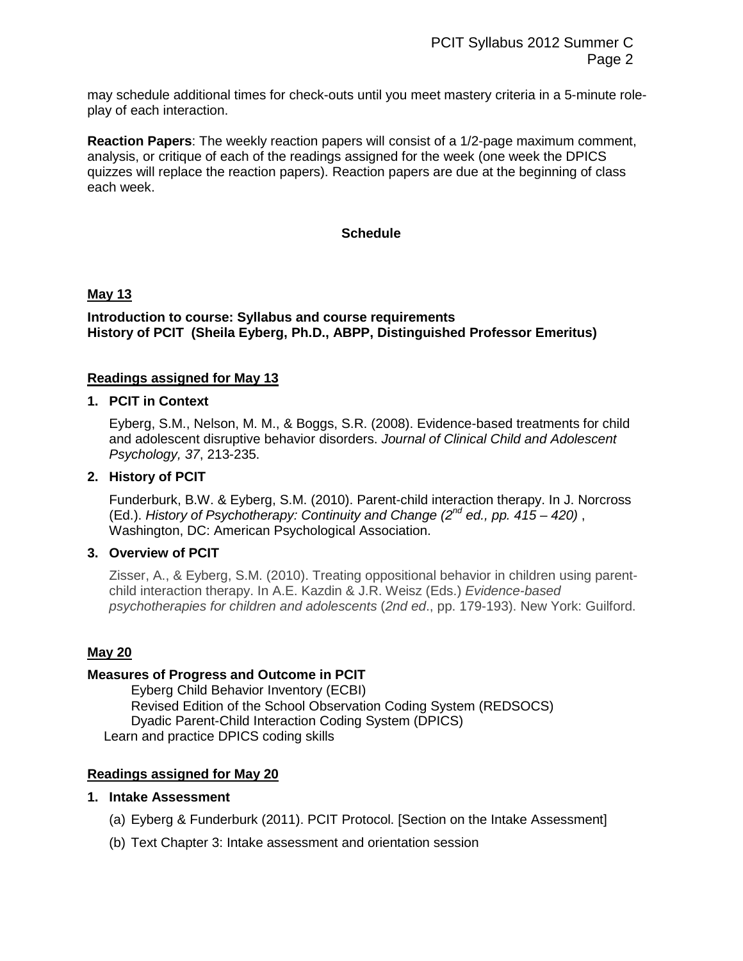may schedule additional times for check-outs until you meet mastery criteria in a 5-minute roleplay of each interaction.

**Reaction Papers**: The weekly reaction papers will consist of a 1/2-page maximum comment, analysis, or critique of each of the readings assigned for the week (one week the DPICS quizzes will replace the reaction papers). Reaction papers are due at the beginning of class each week.

# **Schedule**

# **May 13**

### **Introduction to course: Syllabus and course requirements History of PCIT (Sheila Eyberg, Ph.D., ABPP, Distinguished Professor Emeritus)**

# **Readings assigned for May 13**

#### **1. PCIT in Context**

Eyberg, S.M., Nelson, M. M., & Boggs, S.R. (2008). Evidence-based treatments for child and adolescent disruptive behavior disorders. *Journal of Clinical Child and Adolescent Psychology, 37*, 213-235.

### **2. History of PCIT**

Funderburk, B.W. & Eyberg, S.M. (2010). Parent-child interaction therapy. In J. Norcross (Ed.). *History of Psychotherapy: Continuity and Change (2nd ed., pp. 415 – 420)* , Washington, DC: American Psychological Association.

# **3. Overview of PCIT**

Zisser, A., & Eyberg, S.M. (2010). Treating oppositional behavior in children using parentchild interaction therapy. In A.E. Kazdin & J.R. Weisz (Eds.) *Evidence-based psychotherapies for children and adolescents* (*2nd ed*., pp. 179-193). New York: Guilford.

#### **May 20**

#### **Measures of Progress and Outcome in PCIT**

Eyberg Child Behavior Inventory (ECBI) Revised Edition of the School Observation Coding System (REDSOCS) Dyadic Parent-Child Interaction Coding System (DPICS) Learn and practice DPICS coding skills

# **Readings assigned for May 20**

#### **1. Intake Assessment**

- (a) Eyberg & Funderburk (2011). PCIT Protocol. [Section on the Intake Assessment]
- (b) Text Chapter 3: Intake assessment and orientation session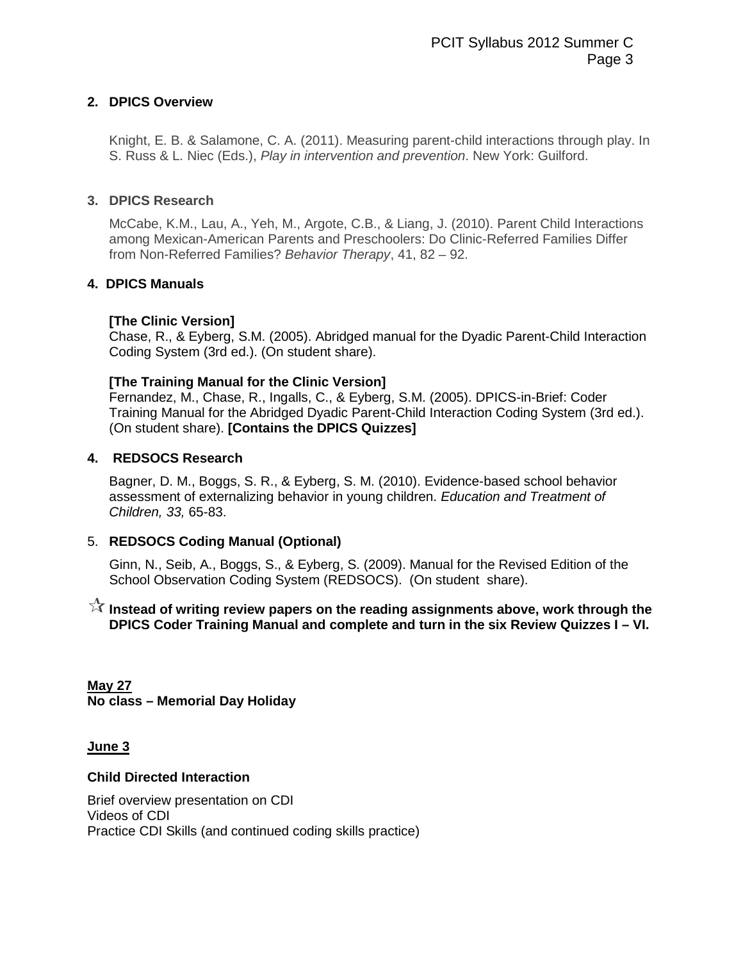# **2. DPICS Overview**

Knight, E. B. & Salamone, C. A. (2011). Measuring parent-child interactions through play. In S. Russ & L. Niec (Eds.), *Play in intervention and prevention*. New York: Guilford.

# **3. DPICS Research**

McCabe, K.M., Lau, A., Yeh, M., Argote, C.B., & Liang, J. (2010). Parent Child Interactions among Mexican-American Parents and Preschoolers: Do Clinic-Referred Families Differ from Non-Referred Families? *Behavior Therapy*, 41, 82 – 92.

# **4. DPICS Manuals**

# **[The Clinic Version]**

Chase, R., & Eyberg, S.M. (2005). Abridged manual for the Dyadic Parent-Child Interaction Coding System (3rd ed.). (On student share).

# **[The Training Manual for the Clinic Version]**

Fernandez, M., Chase, R., Ingalls, C., & Eyberg, S.M. (2005). DPICS-in-Brief: Coder Training Manual for the Abridged Dyadic Parent-Child Interaction Coding System (3rd ed.). (On student share). **[Contains the DPICS Quizzes]**

# **4. REDSOCS Research**

Bagner, D. M., Boggs, S. R., & Eyberg, S. M. (2010). Evidence-based school behavior assessment of externalizing behavior in young children. *Education and Treatment of Children, 33,* 65-83.

# 5. **REDSOCS Coding Manual (Optional)**

Ginn, N., Seib, A., Boggs, S., & Eyberg, S. (2009). Manual for the Revised Edition of the School Observation Coding System (REDSOCS). (On student share).

# **Instead of writing review papers on the reading assignments above, work through the DPICS Coder Training Manual and complete and turn in the six Review Quizzes I – VI.**

**May 27 No class – Memorial Day Holiday**

**June 3**

# **Child Directed Interaction**

Brief overview presentation on CDI Videos of CDI Practice CDI Skills (and continued coding skills practice)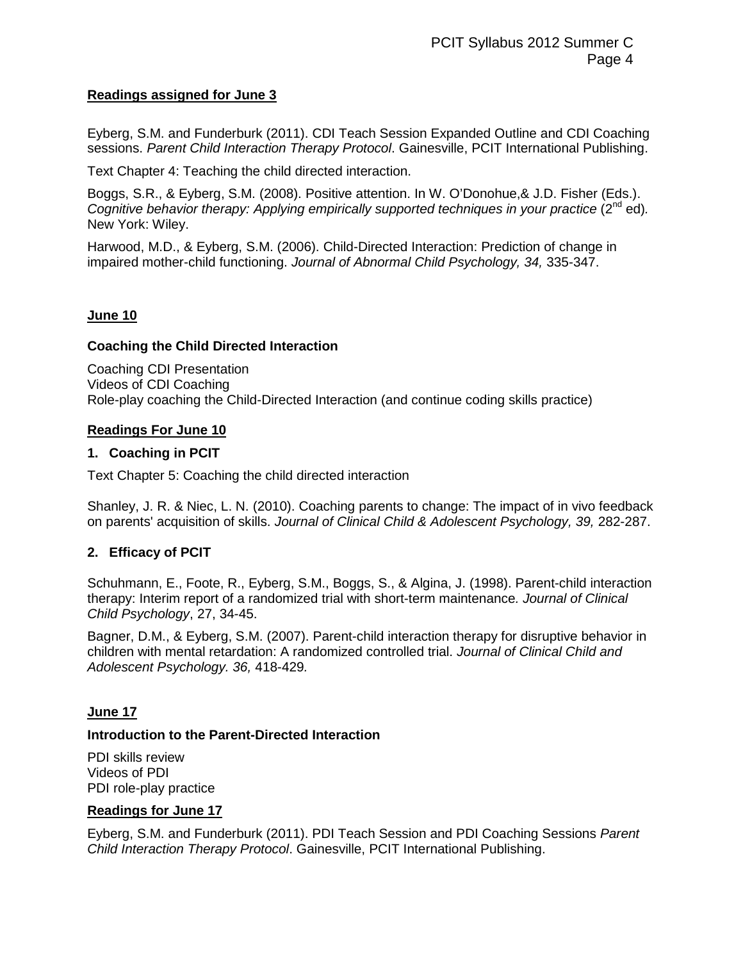# **Readings assigned for June 3**

Eyberg, S.M. and Funderburk (2011). CDI Teach Session Expanded Outline and CDI Coaching sessions. *Parent Child Interaction Therapy Protocol*. Gainesville, PCIT International Publishing.

Text Chapter 4: Teaching the child directed interaction.

Boggs, S.R., & Eyberg, S.M. (2008). Positive attention. In W. O'Donohue,& J.D. Fisher (Eds.). *Cognitive behavior therapy: Applying empirically supported techniques in your practice (2<sup>nd</sup> ed).* New York: Wiley.

Harwood, M.D., & Eyberg, S.M. (2006). Child-Directed Interaction: Prediction of change in impaired mother-child functioning. *Journal of Abnormal Child Psychology, 34,* 335-347.

### **June 10**

### **Coaching the Child Directed Interaction**

Coaching CDI Presentation Videos of CDI Coaching Role-play coaching the Child-Directed Interaction (and continue coding skills practice)

### **Readings For June 10**

### **1. Coaching in PCIT**

Text Chapter 5: Coaching the child directed interaction

Shanley, J. R. & Niec, L. N. (2010). Coaching parents to change: The impact of in vivo feedback on parents' acquisition of skills. *Journal of Clinical Child & Adolescent Psychology, 39,* 282-287.

# **2. Efficacy of PCIT**

Schuhmann, E., Foote, R., Eyberg, S.M., Boggs, S., & Algina, J. (1998). Parent-child interaction therapy: Interim report of a randomized trial with short-term maintenance*. Journal of Clinical Child Psychology*, 27, 34-45.

Bagner, D.M., & Eyberg, S.M. (2007). Parent-child interaction therapy for disruptive behavior in children with mental retardation: A randomized controlled trial. *Journal of Clinical Child and Adolescent Psychology. 36,* 418-429*.*

#### **June 17**

#### **Introduction to the Parent-Directed Interaction**

PDI skills review Videos of PDI PDI role-play practice

#### **Readings for June 17**

Eyberg, S.M. and Funderburk (2011). PDI Teach Session and PDI Coaching Sessions *Parent Child Interaction Therapy Protocol*. Gainesville, PCIT International Publishing.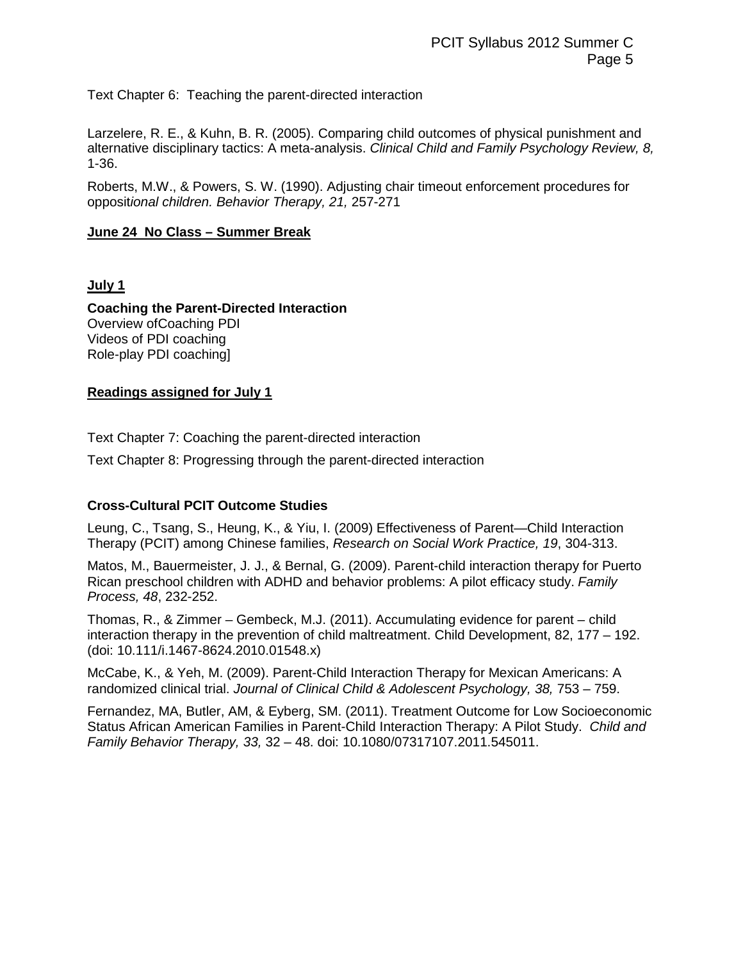Text Chapter 6: Teaching the parent-directed interaction

Larzelere, R. E., & Kuhn, B. R. (2005). Comparing child outcomes of physical punishment and alternative disciplinary tactics: A meta-analysis. *Clinical Child and Family Psychology Review, 8,*  1-36.

Roberts, M.W., & Powers, S. W. (1990). Adjusting chair timeout enforcement procedures for opposit*ional children. Behavior Therapy, 21,* 257-271

### **June 24 No Class – Summer Break**

### **July 1**

**Coaching the Parent-Directed Interaction**  Overview ofCoaching PDI Videos of PDI coaching Role-play PDI coaching]

### **Readings assigned for July 1**

Text Chapter 7: Coaching the parent-directed interaction

Text Chapter 8: Progressing through the parent-directed interaction

# **Cross-Cultural PCIT Outcome Studies**

Leung, C., Tsang, S., Heung, K., & Yiu, I. (2009) Effectiveness of Parent—Child Interaction Therapy (PCIT) among Chinese families, *Research on Social Work Practice, 19*, 304-313.

Matos, M., Bauermeister, J. J., & Bernal, G. (2009). Parent-child interaction therapy for Puerto Rican preschool children with ADHD and behavior problems: A pilot efficacy study. *Family Process, 48*, 232-252.

Thomas, R., & Zimmer – Gembeck, M.J. (2011). Accumulating evidence for parent – child interaction therapy in the prevention of child maltreatment. Child Development, 82, 177 – 192. (doi: 10.111/i.1467-8624.2010.01548.x)

McCabe, K., & Yeh, M. (2009). Parent-Child Interaction Therapy for Mexican Americans: A randomized clinical trial. *Journal of Clinical Child & Adolescent Psychology, 38, 753 - 759.* 

Fernandez, MA, Butler, AM, & Eyberg, SM. (2011). Treatment Outcome for Low Socioeconomic Status African American Families in Parent-Child Interaction Therapy: A Pilot Study. *Child and Family Behavior Therapy, 33,* 32 – 48. doi: 10.1080/07317107.2011.545011.